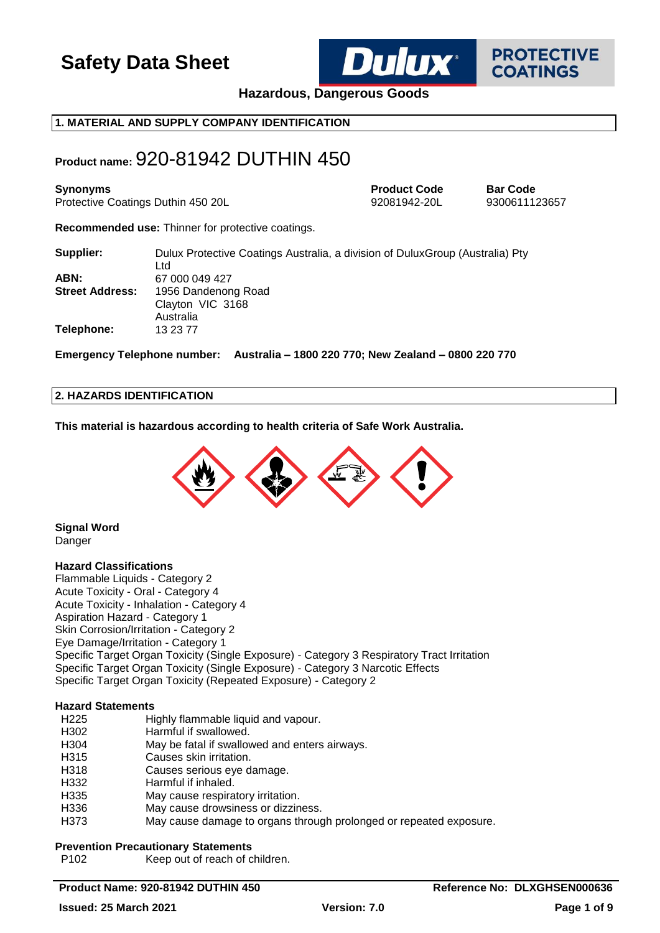

**PROTECTIVE COATINGS** 

**Hazardous, Dangerous Goods**

## **1. MATERIAL AND SUPPLY COMPANY IDENTIFICATION**

## **Product name:** 920-81942 DUTHIN 450

**Synonyms Product Code Bar Code** Protective Coatings Duthin 450 20L 92081942-20L 9300611123657

**Recommended use:** Thinner for protective coatings.

| Supplier:              | Dulux Protective Coatings Australia, a division of Dulux Group (Australia) Pty<br>Ltd |
|------------------------|---------------------------------------------------------------------------------------|
| ABN:                   | 67 000 049 427                                                                        |
| <b>Street Address:</b> | 1956 Dandenong Road                                                                   |
|                        | Clayton VIC 3168                                                                      |
|                        | Australia                                                                             |
| Telephone:             | 13 23 77                                                                              |

**Emergency Telephone number: Australia – 1800 220 770; New Zealand – 0800 220 770**

## **2. HAZARDS IDENTIFICATION**

**This material is hazardous according to health criteria of Safe Work Australia.**



**Signal Word** Danger

### **Hazard Classifications**

Flammable Liquids - Category 2 Acute Toxicity - Oral - Category 4 Acute Toxicity - Inhalation - Category 4 Aspiration Hazard - Category 1 Skin Corrosion/Irritation - Category 2 Eye Damage/Irritation - Category 1 Specific Target Organ Toxicity (Single Exposure) - Category 3 Respiratory Tract Irritation Specific Target Organ Toxicity (Single Exposure) - Category 3 Narcotic Effects Specific Target Organ Toxicity (Repeated Exposure) - Category 2

### **Hazard Statements**

| H <sub>225</sub> | Highly flammable liquid and vapour.                                |
|------------------|--------------------------------------------------------------------|
| H302             | Harmful if swallowed.                                              |
| H304             | May be fatal if swallowed and enters airways.                      |
| H315             | Causes skin irritation.                                            |
| H318             | Causes serious eye damage.                                         |
| H332             | Harmful if inhaled.                                                |
| H335             | May cause respiratory irritation.                                  |
| H336             | May cause drowsiness or dizziness.                                 |
| H373             | May cause damage to organs through prolonged or repeated exposure. |

### **Prevention Precautionary Statements**

P102 Keep out of reach of children.

## **Product Name: 920-81942 DUTHIN 450 Reference No: DLXGHSEN000636**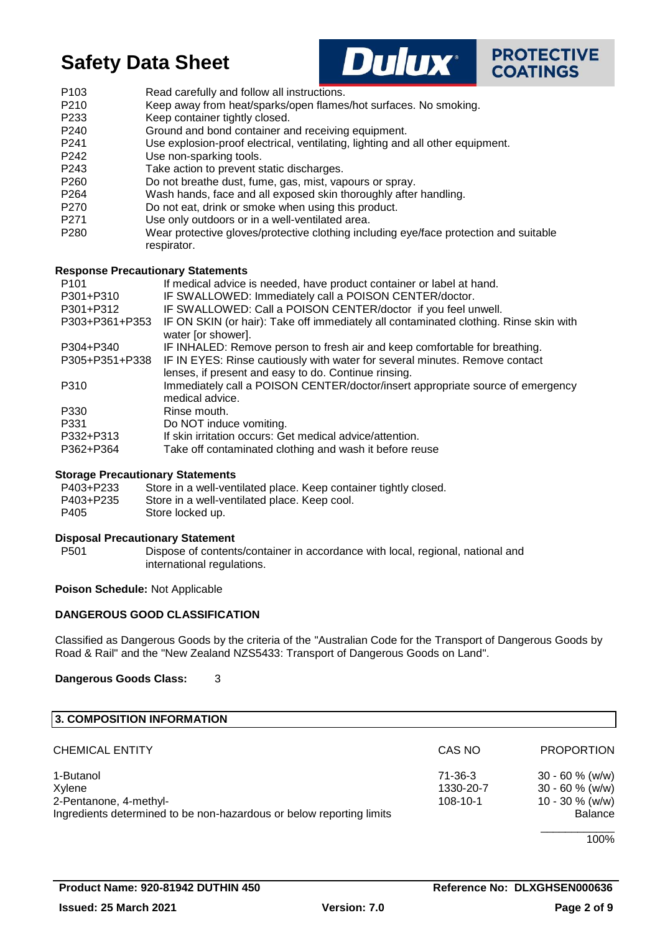



- P103 Read carefully and follow all instructions.
- P210 Keep away from heat/sparks/open flames/hot surfaces. No smoking.
- P233 Keep container tightly closed.
- P240 Ground and bond container and receiving equipment.
- P241 Use explosion-proof electrical, ventilating, lighting and all other equipment.
- P242 Use non-sparking tools.
- P243 Take action to prevent static discharges.
- P260 Do not breathe dust, fume, gas, mist, vapours or spray.
- P264 Wash hands, face and all exposed skin thoroughly after handling.
- P270 Do not eat, drink or smoke when using this product.
- P271 Use only outdoors or in a well-ventilated area.
- P280 Wear protective gloves/protective clothing including eye/face protection and suitable respirator.

### **Response Precautionary Statements**

| If medical advice is needed, have product container or label at hand.                                       |
|-------------------------------------------------------------------------------------------------------------|
| IF SWALLOWED: Immediately call a POISON CENTER/doctor.                                                      |
| IF SWALLOWED: Call a POISON CENTER/doctor if you feel unwell.                                               |
| IF ON SKIN (or hair): Take off immediately all contaminated clothing. Rinse skin with<br>water [or shower]. |
| IF INHALED: Remove person to fresh air and keep comfortable for breathing.                                  |
| IF IN EYES: Rinse cautiously with water for several minutes. Remove contact                                 |
| lenses, if present and easy to do. Continue rinsing.                                                        |
| Immediately call a POISON CENTER/doctor/insert appropriate source of emergency                              |
| medical advice.                                                                                             |
| Rinse mouth.                                                                                                |
| Do NOT induce vomiting.                                                                                     |
| If skin irritation occurs: Get medical advice/attention.                                                    |
| Take off contaminated clothing and wash it before reuse                                                     |
|                                                                                                             |

## **Storage Precautionary Statements**

| P403+P233 | Store in a well-ventilated place. Keep container tightly closed. |
|-----------|------------------------------------------------------------------|
| P403+P235 | Store in a well-ventilated place. Keep cool.                     |
| P405      | Store locked up.                                                 |

### **Disposal Precautionary Statement**

P501 Dispose of contents/container in accordance with local, regional, national and international regulations.

## **Poison Schedule:** Not Applicable

## **DANGEROUS GOOD CLASSIFICATION**

Classified as Dangerous Goods by the criteria of the "Australian Code for the Transport of Dangerous Goods by Road & Rail" and the "New Zealand NZS5433: Transport of Dangerous Goods on Land".

**Dangerous Goods Class:** 3

| 3. COMPOSITION INFORMATION                                           |           |                    |
|----------------------------------------------------------------------|-----------|--------------------|
| <b>CHEMICAL ENTITY</b>                                               | CAS NO    | <b>PROPORTION</b>  |
| 1-Butanol                                                            | 71-36-3   | $30 - 60 \%$ (w/w) |
| Xylene                                                               | 1330-20-7 | $30 - 60 \%$ (w/w) |
| 2-Pentanone, 4-methyl-                                               | 108-10-1  | 10 - 30 $%$ (w/w)  |
| Ingredients determined to be non-hazardous or below reporting limits |           | Balance            |
|                                                                      |           |                    |

100%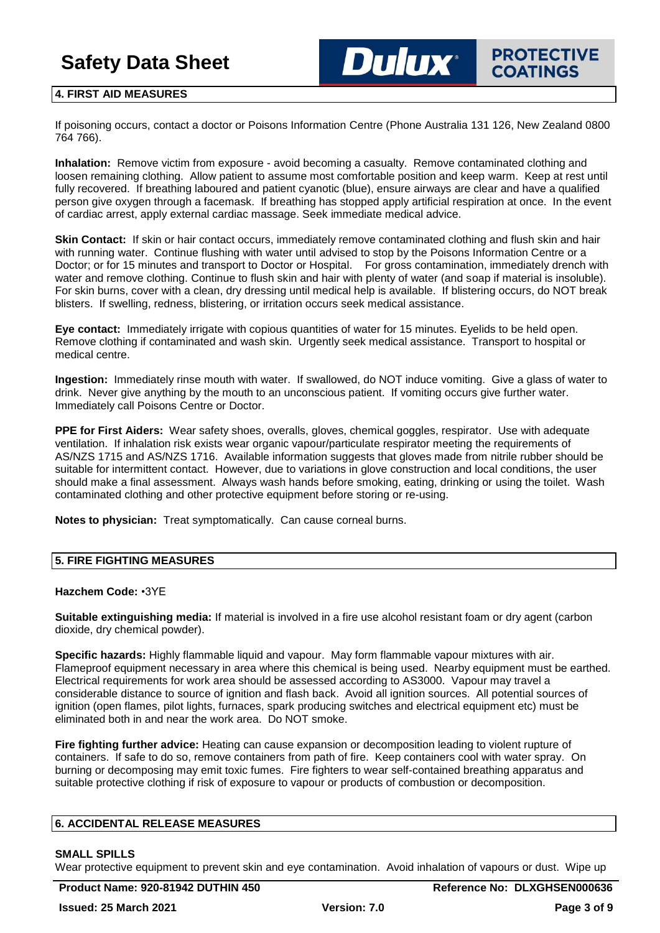## **4. FIRST AID MEASURES**

If poisoning occurs, contact a doctor or Poisons Information Centre (Phone Australia 131 126, New Zealand 0800 764 766).

**Dulux**\*

**Inhalation:** Remove victim from exposure - avoid becoming a casualty. Remove contaminated clothing and loosen remaining clothing. Allow patient to assume most comfortable position and keep warm. Keep at rest until fully recovered. If breathing laboured and patient cyanotic (blue), ensure airways are clear and have a qualified person give oxygen through a facemask. If breathing has stopped apply artificial respiration at once. In the event of cardiac arrest, apply external cardiac massage. Seek immediate medical advice.

**Skin Contact:** If skin or hair contact occurs, immediately remove contaminated clothing and flush skin and hair with running water. Continue flushing with water until advised to stop by the Poisons Information Centre or a Doctor; or for 15 minutes and transport to Doctor or Hospital. For gross contamination, immediately drench with water and remove clothing. Continue to flush skin and hair with plenty of water (and soap if material is insoluble). For skin burns, cover with a clean, dry dressing until medical help is available. If blistering occurs, do NOT break blisters. If swelling, redness, blistering, or irritation occurs seek medical assistance.

**Eye contact:** Immediately irrigate with copious quantities of water for 15 minutes. Eyelids to be held open. Remove clothing if contaminated and wash skin. Urgently seek medical assistance. Transport to hospital or medical centre.

**Ingestion:** Immediately rinse mouth with water. If swallowed, do NOT induce vomiting. Give a glass of water to drink. Never give anything by the mouth to an unconscious patient. If vomiting occurs give further water. Immediately call Poisons Centre or Doctor.

**PPE for First Aiders:** Wear safety shoes, overalls, gloves, chemical goggles, respirator. Use with adequate ventilation. If inhalation risk exists wear organic vapour/particulate respirator meeting the requirements of AS/NZS 1715 and AS/NZS 1716. Available information suggests that gloves made from nitrile rubber should be suitable for intermittent contact. However, due to variations in glove construction and local conditions, the user should make a final assessment. Always wash hands before smoking, eating, drinking or using the toilet. Wash contaminated clothing and other protective equipment before storing or re-using.

**Notes to physician:** Treat symptomatically. Can cause corneal burns.

## **5. FIRE FIGHTING MEASURES**

### **Hazchem Code:** •3YE

**Suitable extinguishing media:** If material is involved in a fire use alcohol resistant foam or dry agent (carbon dioxide, dry chemical powder).

**Specific hazards:** Highly flammable liquid and vapour. May form flammable vapour mixtures with air. Flameproof equipment necessary in area where this chemical is being used. Nearby equipment must be earthed. Electrical requirements for work area should be assessed according to AS3000. Vapour may travel a considerable distance to source of ignition and flash back. Avoid all ignition sources. All potential sources of ignition (open flames, pilot lights, furnaces, spark producing switches and electrical equipment etc) must be eliminated both in and near the work area. Do NOT smoke.

**Fire fighting further advice:** Heating can cause expansion or decomposition leading to violent rupture of containers. If safe to do so, remove containers from path of fire. Keep containers cool with water spray. On burning or decomposing may emit toxic fumes. Fire fighters to wear self-contained breathing apparatus and suitable protective clothing if risk of exposure to vapour or products of combustion or decomposition.

### **6. ACCIDENTAL RELEASE MEASURES**

### **SMALL SPILLS**

Wear protective equipment to prevent skin and eye contamination. Avoid inhalation of vapours or dust. Wipe up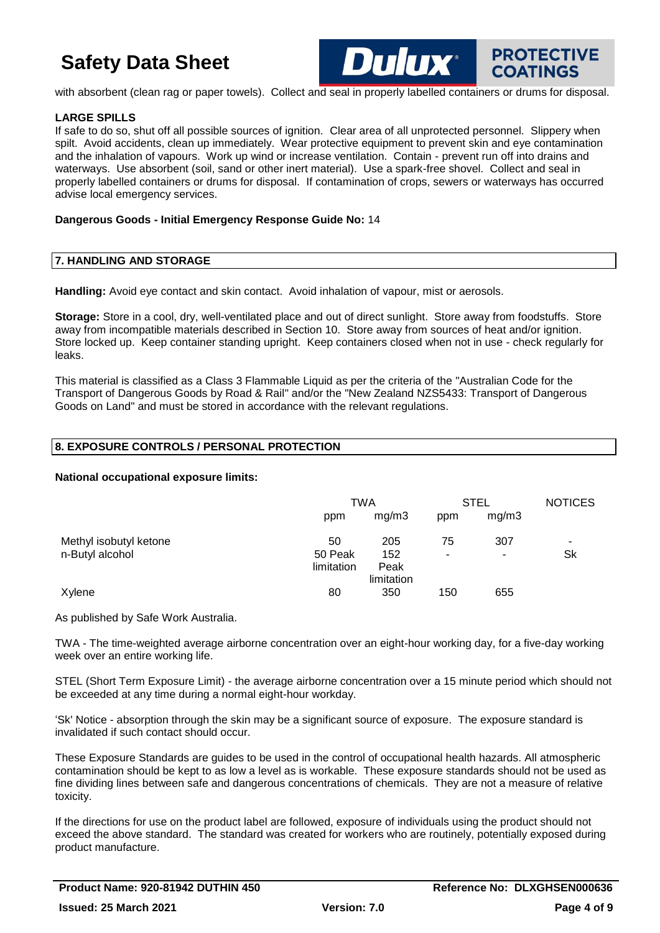

**PROTECTIVE COATINGS** 

with absorbent (clean rag or paper towels). Collect and seal in properly labelled containers or drums for disposal.

## **LARGE SPILLS**

If safe to do so, shut off all possible sources of ignition. Clear area of all unprotected personnel. Slippery when spilt. Avoid accidents, clean up immediately. Wear protective equipment to prevent skin and eye contamination and the inhalation of vapours. Work up wind or increase ventilation. Contain - prevent run off into drains and waterways. Use absorbent (soil, sand or other inert material). Use a spark-free shovel. Collect and seal in properly labelled containers or drums for disposal. If contamination of crops, sewers or waterways has occurred advise local emergency services.

### **Dangerous Goods - Initial Emergency Response Guide No:** 14

### **7. HANDLING AND STORAGE**

**Handling:** Avoid eye contact and skin contact. Avoid inhalation of vapour, mist or aerosols.

**Storage:** Store in a cool, dry, well-ventilated place and out of direct sunlight. Store away from foodstuffs. Store away from incompatible materials described in Section 10. Store away from sources of heat and/or ignition. Store locked up. Keep container standing upright. Keep containers closed when not in use - check regularly for leaks.

This material is classified as a Class 3 Flammable Liquid as per the criteria of the "Australian Code for the Transport of Dangerous Goods by Road & Rail" and/or the "New Zealand NZS5433: Transport of Dangerous Goods on Land" and must be stored in accordance with the relevant regulations.

## **8. EXPOSURE CONTROLS / PERSONAL PROTECTION**

### **National occupational exposure limits:**

|                        |            | TWA        |     | <b>STEL</b> |    |
|------------------------|------------|------------|-----|-------------|----|
|                        | ppm        | mg/m3      | ppm | mg/m3       |    |
| Methyl isobutyl ketone | 50         | 205        | 75  | 307         |    |
| n-Butyl alcohol        | 50 Peak    | 152        | ۰   | ۰           | Sk |
|                        | limitation | Peak       |     |             |    |
|                        |            | limitation |     |             |    |
| Xylene                 | 80         | 350        | 150 | 655         |    |

As published by Safe Work Australia.

TWA - The time-weighted average airborne concentration over an eight-hour working day, for a five-day working week over an entire working life.

STEL (Short Term Exposure Limit) - the average airborne concentration over a 15 minute period which should not be exceeded at any time during a normal eight-hour workday.

'Sk' Notice - absorption through the skin may be a significant source of exposure. The exposure standard is invalidated if such contact should occur.

These Exposure Standards are guides to be used in the control of occupational health hazards. All atmospheric contamination should be kept to as low a level as is workable. These exposure standards should not be used as fine dividing lines between safe and dangerous concentrations of chemicals. They are not a measure of relative toxicity.

If the directions for use on the product label are followed, exposure of individuals using the product should not exceed the above standard. The standard was created for workers who are routinely, potentially exposed during product manufacture.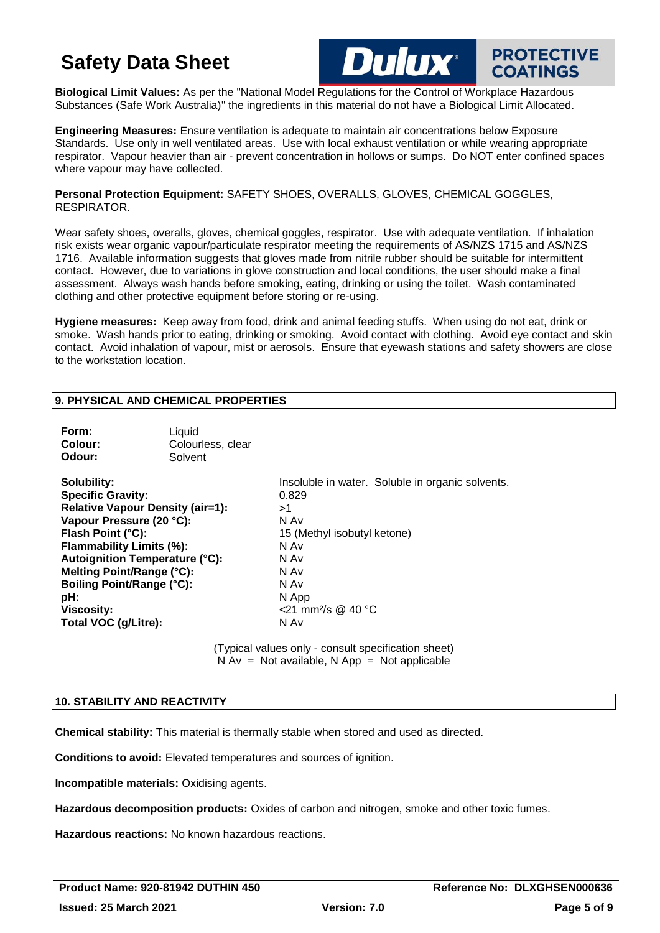Опінх

**PROTECTIVE** 

**COATINGS** 

**Biological Limit Values:** As per the "National Model Regulations for the Control of Workplace Hazardous Substances (Safe Work Australia)" the ingredients in this material do not have a Biological Limit Allocated.

**Engineering Measures:** Ensure ventilation is adequate to maintain air concentrations below Exposure Standards. Use only in well ventilated areas. Use with local exhaust ventilation or while wearing appropriate respirator. Vapour heavier than air - prevent concentration in hollows or sumps. Do NOT enter confined spaces where vapour may have collected.

**Personal Protection Equipment:** SAFETY SHOES, OVERALLS, GLOVES, CHEMICAL GOGGLES, RESPIRATOR.

Wear safety shoes, overalls, gloves, chemical goggles, respirator. Use with adequate ventilation. If inhalation risk exists wear organic vapour/particulate respirator meeting the requirements of AS/NZS 1715 and AS/NZS 1716. Available information suggests that gloves made from nitrile rubber should be suitable for intermittent contact. However, due to variations in glove construction and local conditions, the user should make a final assessment. Always wash hands before smoking, eating, drinking or using the toilet. Wash contaminated clothing and other protective equipment before storing or re-using.

**Hygiene measures:** Keep away from food, drink and animal feeding stuffs. When using do not eat, drink or smoke. Wash hands prior to eating, drinking or smoking. Avoid contact with clothing. Avoid eye contact and skin contact. Avoid inhalation of vapour, mist or aerosols. Ensure that eyewash stations and safety showers are close to the workstation location.

### **9. PHYSICAL AND CHEMICAL PROPERTIES**

| Form:<br>Colour:                                                                                                                                                                                                                                                                                                       | Liquid<br>Colourless, clear |                                                                                                                                                                                           |
|------------------------------------------------------------------------------------------------------------------------------------------------------------------------------------------------------------------------------------------------------------------------------------------------------------------------|-----------------------------|-------------------------------------------------------------------------------------------------------------------------------------------------------------------------------------------|
| Odour:                                                                                                                                                                                                                                                                                                                 | Solvent                     |                                                                                                                                                                                           |
| Solubility:<br><b>Specific Gravity:</b><br><b>Relative Vapour Density (air=1):</b><br>Vapour Pressure (20 °C):<br>Flash Point (°C):<br>Flammability Limits (%):<br><b>Autoignition Temperature (°C):</b><br>Melting Point/Range (°C):<br>Boiling Point/Range (°C):<br>pH:<br><b>Viscosity:</b><br>Total VOC (g/Litre): |                             | Insoluble in water. Soluble in organic solvents.<br>0.829<br>>1<br>N Av<br>15 (Methyl isobutyl ketone)<br>N Av<br>N Av<br>N Av<br>N Av<br>N App<br><21 mm <sup>2</sup> /s @ 40 °C<br>N Av |

(Typical values only - consult specification sheet)  $\overrightarrow{N}$  Av = Not available, N App = Not applicable

## **10. STABILITY AND REACTIVITY**

**Chemical stability:** This material is thermally stable when stored and used as directed.

**Conditions to avoid:** Elevated temperatures and sources of ignition.

**Incompatible materials:** Oxidising agents.

**Hazardous decomposition products:** Oxides of carbon and nitrogen, smoke and other toxic fumes.

**Hazardous reactions:** No known hazardous reactions.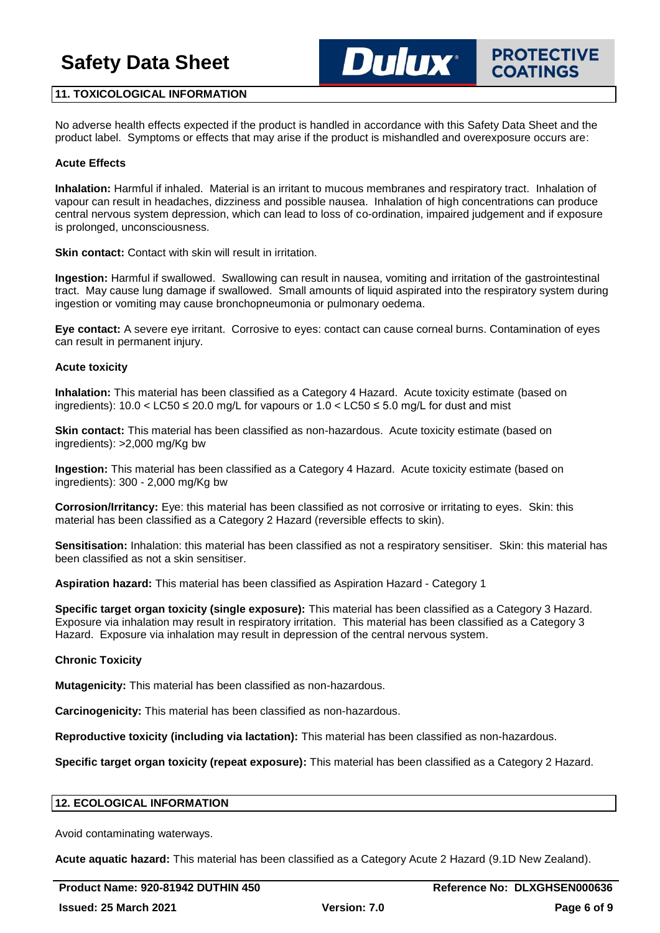**PROTECTIVE COATINGS** 

## **11. TOXICOLOGICAL INFORMATION**

No adverse health effects expected if the product is handled in accordance with this Safety Data Sheet and the product label. Symptoms or effects that may arise if the product is mishandled and overexposure occurs are:

**Dulux**\*

### **Acute Effects**

**Inhalation:** Harmful if inhaled. Material is an irritant to mucous membranes and respiratory tract. Inhalation of vapour can result in headaches, dizziness and possible nausea. Inhalation of high concentrations can produce central nervous system depression, which can lead to loss of co-ordination, impaired judgement and if exposure is prolonged, unconsciousness.

**Skin contact:** Contact with skin will result in irritation.

**Ingestion:** Harmful if swallowed. Swallowing can result in nausea, vomiting and irritation of the gastrointestinal tract. May cause lung damage if swallowed. Small amounts of liquid aspirated into the respiratory system during ingestion or vomiting may cause bronchopneumonia or pulmonary oedema.

**Eye contact:** A severe eye irritant. Corrosive to eyes: contact can cause corneal burns. Contamination of eyes can result in permanent injury.

### **Acute toxicity**

**Inhalation:** This material has been classified as a Category 4 Hazard. Acute toxicity estimate (based on ingredients): 10.0 < LC50 ≤ 20.0 mg/L for vapours or 1.0 < LC50 ≤ 5.0 mg/L for dust and mist

**Skin contact:** This material has been classified as non-hazardous. Acute toxicity estimate (based on ingredients): >2,000 mg/Kg bw

**Ingestion:** This material has been classified as a Category 4 Hazard. Acute toxicity estimate (based on ingredients): 300 - 2,000 mg/Kg bw

**Corrosion/Irritancy:** Eye: this material has been classified as not corrosive or irritating to eyes. Skin: this material has been classified as a Category 2 Hazard (reversible effects to skin).

**Sensitisation:** Inhalation: this material has been classified as not a respiratory sensitiser. Skin: this material has been classified as not a skin sensitiser.

**Aspiration hazard:** This material has been classified as Aspiration Hazard - Category 1

**Specific target organ toxicity (single exposure):** This material has been classified as a Category 3 Hazard. Exposure via inhalation may result in respiratory irritation. This material has been classified as a Category 3 Hazard. Exposure via inhalation may result in depression of the central nervous system.

### **Chronic Toxicity**

**Mutagenicity:** This material has been classified as non-hazardous.

**Carcinogenicity:** This material has been classified as non-hazardous.

**Reproductive toxicity (including via lactation):** This material has been classified as non-hazardous.

**Specific target organ toxicity (repeat exposure):** This material has been classified as a Category 2 Hazard.

### **12. ECOLOGICAL INFORMATION**

Avoid contaminating waterways.

**Acute aquatic hazard:** This material has been classified as a Category Acute 2 Hazard (9.1D New Zealand).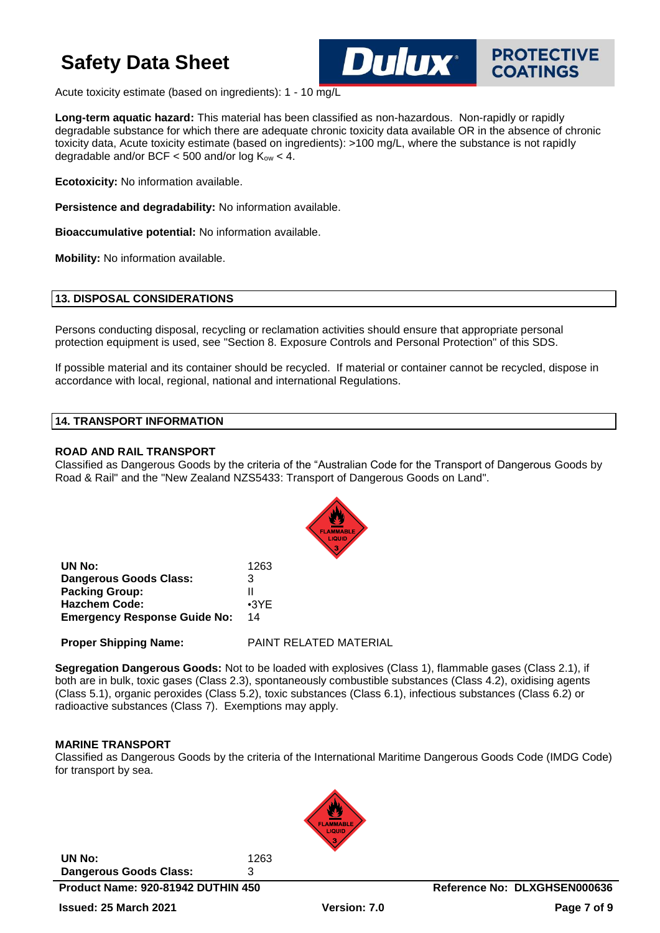

Acute toxicity estimate (based on ingredients): 1 - 10 mg/L

**Long-term aquatic hazard:** This material has been classified as non-hazardous. Non-rapidly or rapidly degradable substance for which there are adequate chronic toxicity data available OR in the absence of chronic toxicity data, Acute toxicity estimate (based on ingredients): >100 mg/L, where the substance is not rapidly degradable and/or BCF  $<$  500 and/or log  $K_{ow}$   $<$  4.

Dulux®

**Ecotoxicity:** No information available.

**Persistence and degradability:** No information available.

**Bioaccumulative potential:** No information available.

**Mobility:** No information available.

### **13. DISPOSAL CONSIDERATIONS**

Persons conducting disposal, recycling or reclamation activities should ensure that appropriate personal protection equipment is used, see "Section 8. Exposure Controls and Personal Protection" of this SDS.

If possible material and its container should be recycled. If material or container cannot be recycled, dispose in accordance with local, regional, national and international Regulations.

## **14. TRANSPORT INFORMATION**

### **ROAD AND RAIL TRANSPORT**

Classified as Dangerous Goods by the criteria of the "Australian Code for the Transport of Dangerous Goods by Road & Rail" and the "New Zealand NZS5433: Transport of Dangerous Goods on Land".



| UN No:                              | 1263        |
|-------------------------------------|-------------|
| <b>Dangerous Goods Class:</b>       | 3           |
| <b>Packing Group:</b>               | Ш           |
| <b>Hazchem Code:</b>                | $\cdot$ 3YE |
| <b>Emergency Response Guide No:</b> | 14          |

**Proper Shipping Name:** PAINT RELATED MATERIAL

**Segregation Dangerous Goods:** Not to be loaded with explosives (Class 1), flammable gases (Class 2.1), if both are in bulk, toxic gases (Class 2.3), spontaneously combustible substances (Class 4.2), oxidising agents (Class 5.1), organic peroxides (Class 5.2), toxic substances (Class 6.1), infectious substances (Class 6.2) or radioactive substances (Class 7). Exemptions may apply.

## **MARINE TRANSPORT**

Classified as Dangerous Goods by the criteria of the International Maritime Dangerous Goods Code (IMDG Code) for transport by sea.

**UN No:** 1263 **Dangerous Goods Class:** 3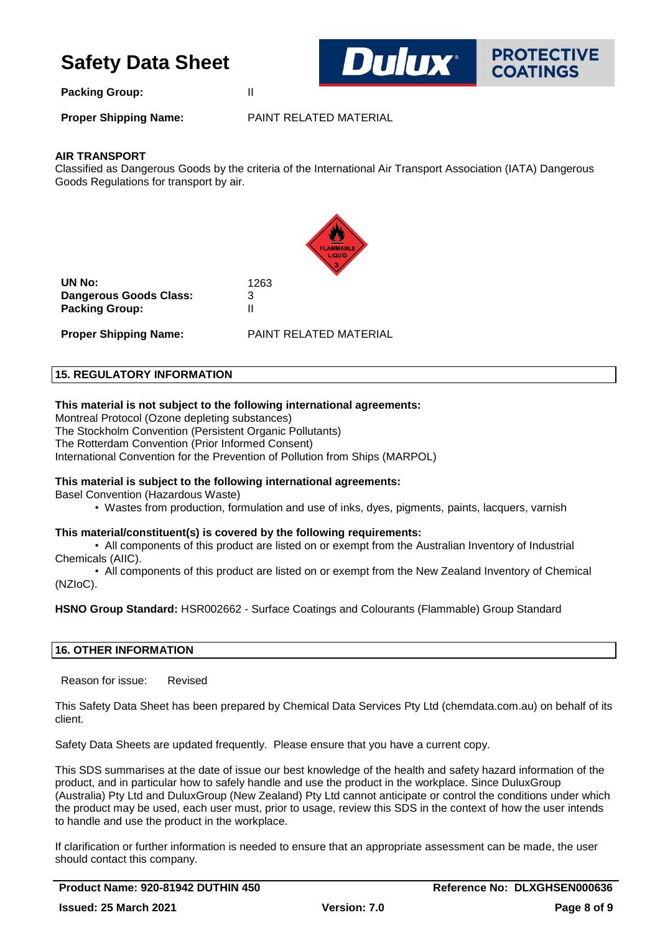

**Packing Group:** II

**Proper Shipping Name:** PAINT RELATED MATERIAL

## **AIR TRANSPORT**

Classified as Dangerous Goods by the criteria of the International Air Transport Association (IATA) Dangerous Goods Regulations for transport by air.



**UN No:** 1263 **Dangerous Goods Class:** 3 **Packing Group:** II

**Proper Shipping Name:** PAINT RELATED MATERIAL

## **15. REGULATORY INFORMATION**

## **This material is not subject to the following international agreements:**

Montreal Protocol (Ozone depleting substances) The Stockholm Convention (Persistent Organic Pollutants) The Rotterdam Convention (Prior Informed Consent) International Convention for the Prevention of Pollution from Ships (MARPOL)

## **This material is subject to the following international agreements:**

Basel Convention (Hazardous Waste)

• Wastes from production, formulation and use of inks, dyes, pigments, paints, lacquers, varnish

## **This material/constituent(s) is covered by the following requirements:**

• All components of this product are listed on or exempt from the Australian Inventory of Industrial Chemicals (AIIC).

• All components of this product are listed on or exempt from the New Zealand Inventory of Chemical (NZIoC).

**HSNO Group Standard:** HSR002662 - Surface Coatings and Colourants (Flammable) Group Standard

## **16. OTHER INFORMATION**

Reason for issue: Revised

This Safety Data Sheet has been prepared by Chemical Data Services Pty Ltd (chemdata.com.au) on behalf of its client.

Safety Data Sheets are updated frequently. Please ensure that you have a current copy.

This SDS summarises at the date of issue our best knowledge of the health and safety hazard information of the product, and in particular how to safely handle and use the product in the workplace. Since DuluxGroup (Australia) Pty Ltd and DuluxGroup (New Zealand) Pty Ltd cannot anticipate or control the conditions under which the product may be used, each user must, prior to usage, review this SDS in the context of how the user intends to handle and use the product in the workplace.

If clarification or further information is needed to ensure that an appropriate assessment can be made, the user should contact this company.